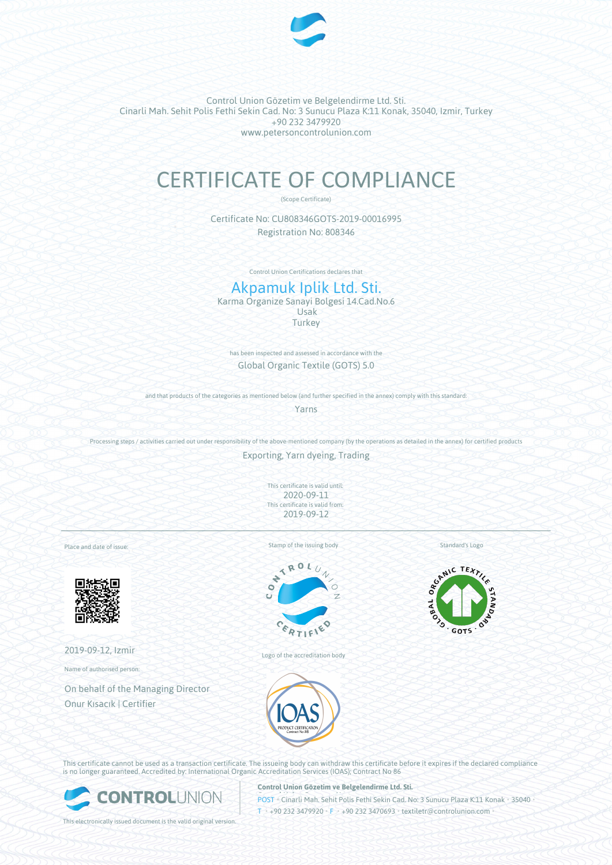

Control Union Gözetim ve Belgelendirme Ltd. Sti. Cinarli Mah. Sehit Polis Fethi Sekin Cad. No: 3 Sunucu Plaza K:11 Konak, 35040, Izmir, Turkey +90 232 3479920 www.petersoncontrolunion.com

# CERTIFICATE OF COMPLIANCE

(Scope Certificate)

Certificate No: CU808346GOTS-2019-00016995 Registration No: 808346

Control Union Certifications declares that

# Akpamuk Iplik Ltd. Sti.

Karma Organize Sanayi Bolgesi 14.Cad.No.6 Usak **Turkey** 

has been inspected and assessed in accordance with the Global Organic Textile (GOTS) 5.0

and that products of the categories as mentioned below (and further specified in the annex) comply with this standard:

Yarns

Processing steps / activities carried out under responsibility of the above-mentioned company (by the operations as detailed in the annex) for certified products

Exporting, Yarn dyeing, Trading

This certificate is valid until: 2020-09-11 This certificate is valid from: 2019-09-12

Place and date of issue:



2019-09-12, Izmir

Name of authorised person:

On behalf of the Managing Director Onur Kısacık | Certifier





Logo of the accreditation body





This certificate cannot be used as a transaction certificate. The issueing body can withdraw this certificate before it expires if the declared compliance is no longer guaranteed. Accredited by: International Organic Accreditation Services (IOAS); Contract No 86



**Control Union Gözetim ve Belgelendirme Ltd. Sti.**

**POST • Cinarli Mah. Sehit Polis Fethi Sekin Cad. No: 3 Sunucu Plaza K:11 Konak • 35040**  $I_{\text{H}}$  +90 232 3479920 • F • +90 232 3470693 • textiletr@controlunion.com

This electronically issued document is the valid original version.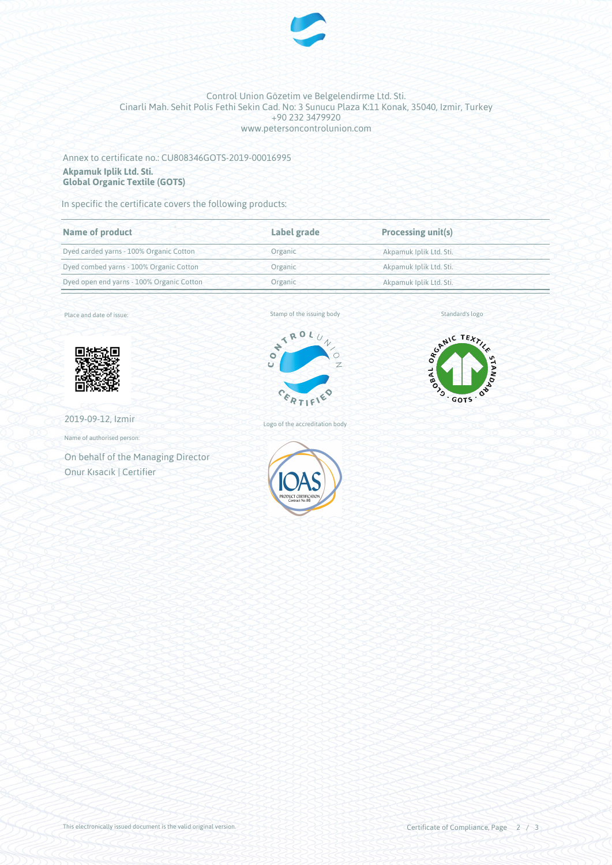

#### Control Union Gözetim ve Belgelendirme Ltd. Sti. Cinarli Mah. Sehit Polis Fethi Sekin Cad. No: 3 Sunucu Plaza K:11 Konak, 35040, Izmir, Turkey +90 232 3479920 www.petersoncontrolunion.com

## Annex to certificate no.: CU808346GOTS-2019-00016995 **Akpamuk Iplik Ltd. Sti. Global Organic Textile (GOTS)**

In specific the certificate covers the following products:

| Label grade | <b>Processing unit(s)</b> |  |
|-------------|---------------------------|--|
| Organic     | Akpamuk Iplik Ltd. Sti.   |  |
| Organic     | Akpamuk Iplik Ltd. Sti.   |  |
| Organic     | Akpamuk Iplik Ltd. Sti.   |  |
|             |                           |  |

Place and date of issue:



2019-09-12, Izmir

Name of authorised person:

On behalf of the Managing Director Onur Kısacık | Certifier



Standard's logo



Logo of the accreditation body